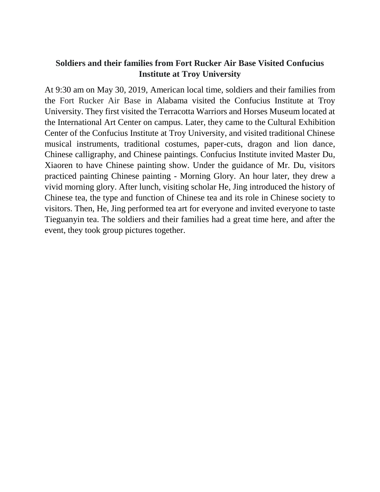## **Soldiers and their families from Fort Rucker Air Base Visited Confucius Institute at Troy University**

At 9:30 am on May 30, 2019, American local time, soldiers and their families from the Fort Rucker Air Base in Alabama visited the Confucius Institute at Troy University. They first visited the Terracotta Warriors and Horses Museum located at the International Art Center on campus. Later, they came to the Cultural Exhibition Center of the Confucius Institute at Troy University, and visited traditional Chinese musical instruments, traditional costumes, paper-cuts, dragon and lion dance, Chinese calligraphy, and Chinese paintings. Confucius Institute invited Master Du, Xiaoren to have Chinese painting show. Under the guidance of Mr. Du, visitors practiced painting Chinese painting - Morning Glory. An hour later, they drew a vivid morning glory. After lunch, visiting scholar He, Jing introduced the history of Chinese tea, the type and function of Chinese tea and its role in Chinese society to visitors. Then, He, Jing performed tea art for everyone and invited everyone to taste Tieguanyin tea. The soldiers and their families had a great time here, and after the event, they took group pictures together.